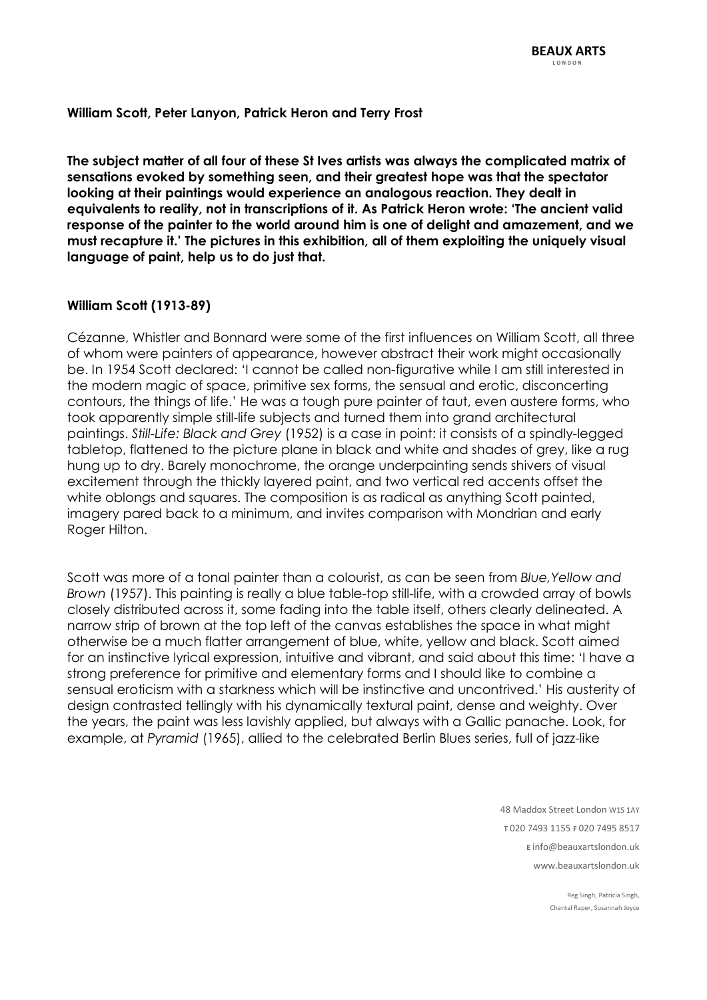### **William Scott, Peter Lanyon, Patrick Heron and Terry Frost**

**The subject matter of all four of these St Ives artists was always the complicated matrix of sensations evoked by something seen, and their greatest hope was that the spectator looking at their paintings would experience an analogous reaction. They dealt in equivalents to reality, not in transcriptions of it. As Patrick Heron wrote: 'The ancient valid response of the painter to the world around him is one of delight and amazement, and we must recapture it.' The pictures in this exhibition, all of them exploiting the uniquely visual language of paint, help us to do just that.**

### **William Scott (1913-89)**

Cézanne, Whistler and Bonnard were some of the first influences on William Scott, all three of whom were painters of appearance, however abstract their work might occasionally be. In 1954 Scott declared: 'I cannot be called non-figurative while I am still interested in the modern magic of space, primitive sex forms, the sensual and erotic, disconcerting contours, the things of life.' He was a tough pure painter of taut, even austere forms, who took apparently simple still-life subjects and turned them into grand architectural paintings. *Still-Life: Black and Grey* (1952) is a case in point: it consists of a spindly-legged tabletop, flattened to the picture plane in black and white and shades of grey, like a rug hung up to dry. Barely monochrome, the orange underpainting sends shivers of visual excitement through the thickly layered paint, and two vertical red accents offset the white oblongs and squares. The composition is as radical as anything Scott painted, imagery pared back to a minimum, and invites comparison with Mondrian and early Roger Hilton.

Scott was more of a tonal painter than a colourist, as can be seen from *Blue,Yellow and Brown* (1957). This painting is really a blue table-top still-life, with a crowded array of bowls closely distributed across it, some fading into the table itself, others clearly delineated. A narrow strip of brown at the top left of the canvas establishes the space in what might otherwise be a much flatter arrangement of blue, white, yellow and black. Scott aimed for an instinctive lyrical expression, intuitive and vibrant, and said about this time: 'I have a strong preference for primitive and elementary forms and I should like to combine a sensual eroticism with a starkness which will be instinctive and uncontrived.' His austerity of design contrasted tellingly with his dynamically textural paint, dense and weighty. Over the years, the paint was less lavishly applied, but always with a Gallic panache. Look, for example, at *Pyramid* (1965), allied to the celebrated Berlin Blues series, full of jazz-like

> 48 Maddox Street London W1S 1AY  **T** 020 7493 1155 **F** 020 7495 8517  **E** info@beauxartslondon.uk www.beauxartslondon.uk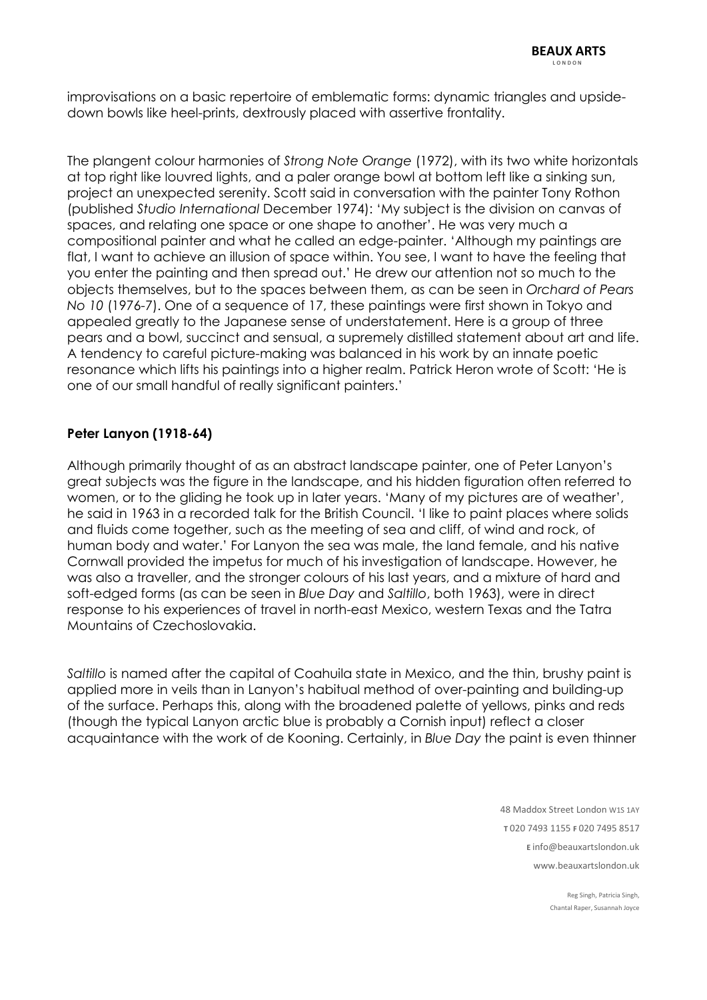improvisations on a basic repertoire of emblematic forms: dynamic triangles and upsidedown bowls like heel-prints, dextrously placed with assertive frontality.

The plangent colour harmonies of *Strong Note Orange* (1972), with its two white horizontals at top right like louvred lights, and a paler orange bowl at bottom left like a sinking sun, project an unexpected serenity. Scott said in conversation with the painter Tony Rothon (published *Studio International* December 1974): 'My subject is the division on canvas of spaces, and relating one space or one shape to another'. He was very much a compositional painter and what he called an edge-painter. 'Although my paintings are flat, I want to achieve an illusion of space within. You see, I want to have the feeling that you enter the painting and then spread out.' He drew our attention not so much to the objects themselves, but to the spaces between them, as can be seen in *Orchard of Pears No 10* (1976-7). One of a sequence of 17, these paintings were first shown in Tokyo and appealed greatly to the Japanese sense of understatement. Here is a group of three pears and a bowl, succinct and sensual, a supremely distilled statement about art and life. A tendency to careful picture-making was balanced in his work by an innate poetic resonance which lifts his paintings into a higher realm. Patrick Heron wrote of Scott: 'He is one of our small handful of really significant painters.'

## **Peter Lanyon (1918-64)**

Although primarily thought of as an abstract landscape painter, one of Peter Lanyon's great subjects was the figure in the landscape, and his hidden figuration often referred to women, or to the gliding he took up in later years. 'Many of my pictures are of weather', he said in 1963 in a recorded talk for the British Council. 'I like to paint places where solids and fluids come together, such as the meeting of sea and cliff, of wind and rock, of human body and water.' For Lanyon the sea was male, the land female, and his native Cornwall provided the impetus for much of his investigation of landscape. However, he was also a traveller, and the stronger colours of his last years, and a mixture of hard and soft-edged forms (as can be seen in *Blue Day* and *Saltillo*, both 1963), were in direct response to his experiences of travel in north-east Mexico, western Texas and the Tatra Mountains of Czechoslovakia.

*Saltillo* is named after the capital of Coahuila state in Mexico, and the thin, brushy paint is applied more in veils than in Lanyon's habitual method of over-painting and building-up of the surface. Perhaps this, along with the broadened palette of yellows, pinks and reds (though the typical Lanyon arctic blue is probably a Cornish input) reflect a closer acquaintance with the work of de Kooning. Certainly, in *Blue Day* the paint is even thinner

> 48 Maddox Street London W1S 1AY  **T** 020 7493 1155 **F** 020 7495 8517  **E** info@beauxartslondon.uk www.beauxartslondon.uk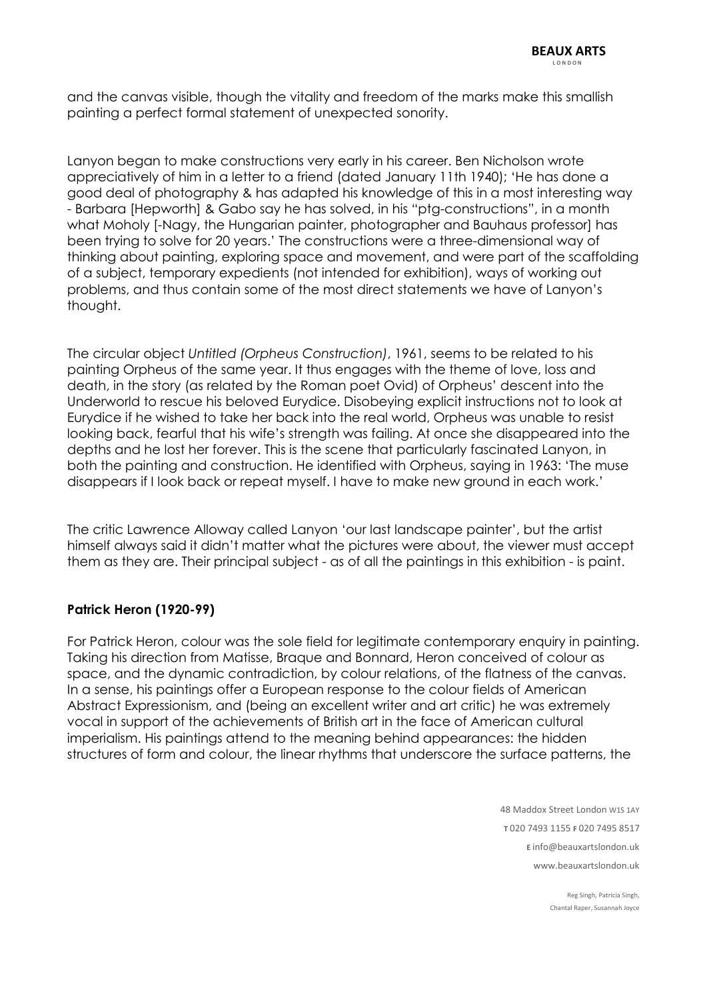and the canvas visible, though the vitality and freedom of the marks make this smallish painting a perfect formal statement of unexpected sonority.

Lanyon began to make constructions very early in his career. Ben Nicholson wrote appreciatively of him in a letter to a friend (dated January 11th 1940); 'He has done a good deal of photography & has adapted his knowledge of this in a most interesting way - Barbara [Hepworth] & Gabo say he has solved, in his "ptg-constructions", in a month what Moholy [-Nagy, the Hungarian painter, photographer and Bauhaus professor] has been trying to solve for 20 years.' The constructions were a three-dimensional way of thinking about painting, exploring space and movement, and were part of the scaffolding of a subject, temporary expedients (not intended for exhibition), ways of working out problems, and thus contain some of the most direct statements we have of Lanyon's thought.

The circular object *Untitled (Orpheus Construction)*, 1961, seems to be related to his painting Orpheus of the same year. It thus engages with the theme of love, loss and death, in the story (as related by the Roman poet Ovid) of Orpheus' descent into the Underworld to rescue his beloved Eurydice. Disobeying explicit instructions not to look at Eurydice if he wished to take her back into the real world, Orpheus was unable to resist looking back, fearful that his wife's strength was failing. At once she disappeared into the depths and he lost her forever. This is the scene that particularly fascinated Lanyon, in both the painting and construction. He identified with Orpheus, saying in 1963: 'The muse disappears if I look back or repeat myself. I have to make new ground in each work.'

The critic Lawrence Alloway called Lanyon 'our last landscape painter', but the artist himself always said it didn't matter what the pictures were about, the viewer must accept them as they are. Their principal subject - as of all the paintings in this exhibition - is paint.

### **Patrick Heron (1920-99)**

For Patrick Heron, colour was the sole field for legitimate contemporary enquiry in painting. Taking his direction from Matisse, Braque and Bonnard, Heron conceived of colour as space, and the dynamic contradiction, by colour relations, of the flatness of the canvas. In a sense, his paintings offer a European response to the colour fields of American Abstract Expressionism, and (being an excellent writer and art critic) he was extremely vocal in support of the achievements of British art in the face of American cultural imperialism. His paintings attend to the meaning behind appearances: the hidden structures of form and colour, the linear rhythms that underscore the surface patterns, the

> 48 Maddox Street London W1S 1AY  **T** 020 7493 1155 **F** 020 7495 8517  **E** info@beauxartslondon.uk www.beauxartslondon.uk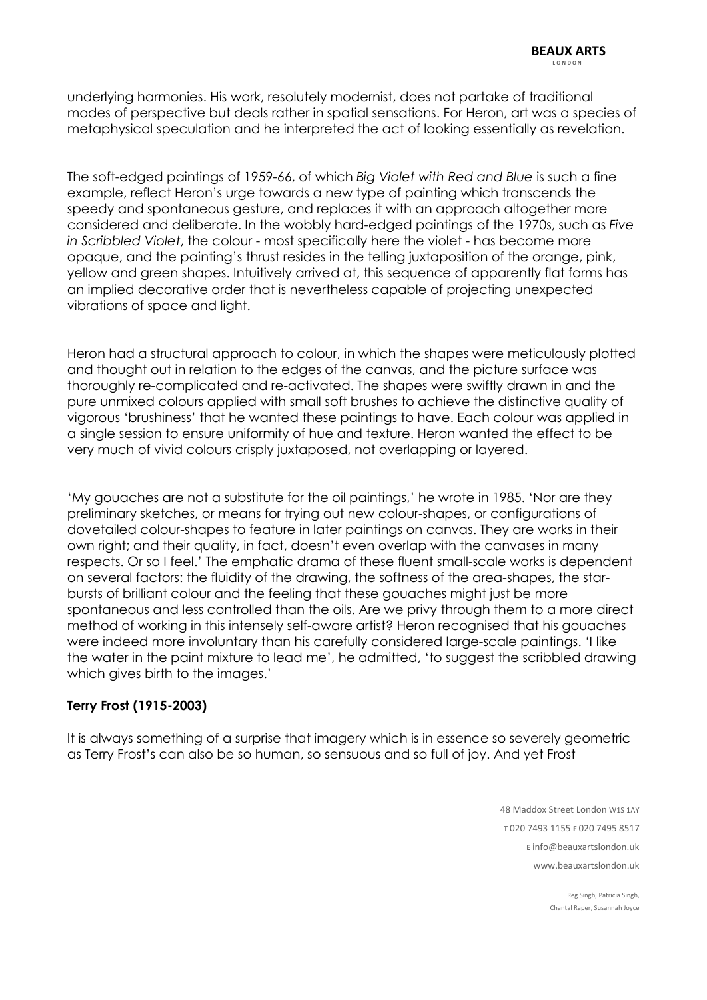underlying harmonies. His work, resolutely modernist, does not partake of traditional modes of perspective but deals rather in spatial sensations. For Heron, art was a species of metaphysical speculation and he interpreted the act of looking essentially as revelation.

The soft-edged paintings of 1959-66, of which *Big Violet with Red and Blue* is such a fine example, reflect Heron's urge towards a new type of painting which transcends the speedy and spontaneous gesture, and replaces it with an approach altogether more considered and deliberate. In the wobbly hard-edged paintings of the 1970s, such as *Five in Scribbled Violet*, the colour - most specifically here the violet - has become more opaque, and the painting's thrust resides in the telling juxtaposition of the orange, pink, yellow and green shapes. Intuitively arrived at, this sequence of apparently flat forms has an implied decorative order that is nevertheless capable of projecting unexpected vibrations of space and light.

Heron had a structural approach to colour, in which the shapes were meticulously plotted and thought out in relation to the edges of the canvas, and the picture surface was thoroughly re-complicated and re-activated. The shapes were swiftly drawn in and the pure unmixed colours applied with small soft brushes to achieve the distinctive quality of vigorous 'brushiness' that he wanted these paintings to have. Each colour was applied in a single session to ensure uniformity of hue and texture. Heron wanted the effect to be very much of vivid colours crisply juxtaposed, not overlapping or layered.

'My gouaches are not a substitute for the oil paintings,' he wrote in 1985. 'Nor are they preliminary sketches, or means for trying out new colour-shapes, or configurations of dovetailed colour-shapes to feature in later paintings on canvas. They are works in their own right; and their quality, in fact, doesn't even overlap with the canvases in many respects. Or so I feel.' The emphatic drama of these fluent small-scale works is dependent on several factors: the fluidity of the drawing, the softness of the area-shapes, the starbursts of brilliant colour and the feeling that these gouaches might just be more spontaneous and less controlled than the oils. Are we privy through them to a more direct method of working in this intensely self-aware artist? Heron recognised that his gouaches were indeed more involuntary than his carefully considered large-scale paintings. 'I like the water in the paint mixture to lead me', he admitted, 'to suggest the scribbled drawing which gives birth to the images.'

# **Terry Frost (1915-2003)**

It is always something of a surprise that imagery which is in essence so severely geometric as Terry Frost's can also be so human, so sensuous and so full of joy. And yet Frost

> 48 Maddox Street London W1S 1AY  **T** 020 7493 1155 **F** 020 7495 8517  **E** info@beauxartslondon.uk www.beauxartslondon.uk